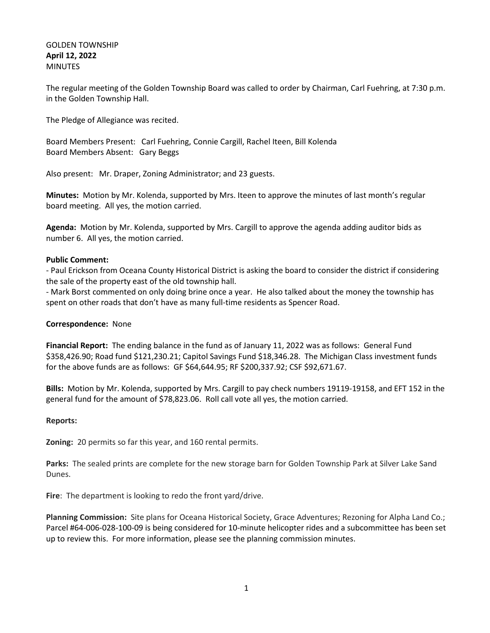## GOLDEN TOWNSHIP **April 12, 2022** MINUTES

The regular meeting of the Golden Township Board was called to order by Chairman, Carl Fuehring, at 7:30 p.m. in the Golden Township Hall.

The Pledge of Allegiance was recited.

Board Members Present: Carl Fuehring, Connie Cargill, Rachel Iteen, Bill Kolenda Board Members Absent: Gary Beggs

Also present: Mr. Draper, Zoning Administrator; and 23 guests.

**Minutes:** Motion by Mr. Kolenda, supported by Mrs. Iteen to approve the minutes of last month's regular board meeting. All yes, the motion carried.

**Agenda:** Motion by Mr. Kolenda, supported by Mrs. Cargill to approve the agenda adding auditor bids as number 6. All yes, the motion carried.

## **Public Comment:**

- Paul Erickson from Oceana County Historical District is asking the board to consider the district if considering the sale of the property east of the old township hall.

- Mark Borst commented on only doing brine once a year. He also talked about the money the township has spent on other roads that don't have as many full-time residents as Spencer Road.

## **Correspondence:** None

**Financial Report:** The ending balance in the fund as of January 11, 2022 was as follows: General Fund \$358,426.90; Road fund \$121,230.21; Capitol Savings Fund \$18,346.28. The Michigan Class investment funds for the above funds are as follows: GF \$64,644.95; RF \$200,337.92; CSF \$92,671.67.

**Bills:** Motion by Mr. Kolenda, supported by Mrs. Cargill to pay check numbers 19119-19158, and EFT 152 in the general fund for the amount of \$78,823.06. Roll call vote all yes, the motion carried.

## **Reports:**

**Zoning:** 20 permits so far this year, and 160 rental permits.

**Parks:** The sealed prints are complete for the new storage barn for Golden Township Park at Silver Lake Sand Dunes.

**Fire**: The department is looking to redo the front yard/drive.

**Planning Commission:** Site plans for Oceana Historical Society, Grace Adventures; Rezoning for Alpha Land Co.; Parcel #64-006-028-100-09 is being considered for 10-minute helicopter rides and a subcommittee has been set up to review this. For more information, please see the planning commission minutes.